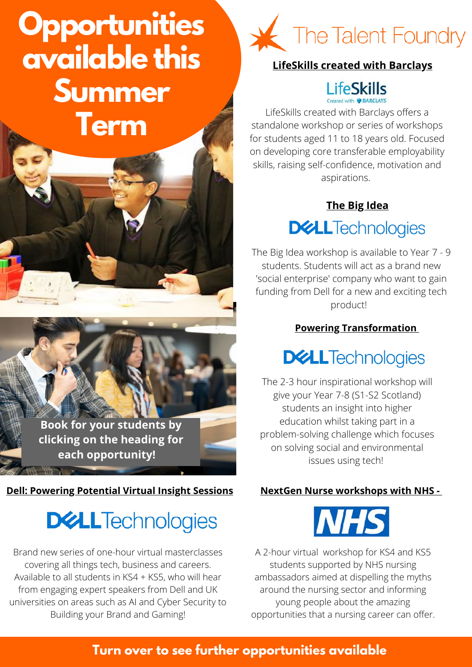# **Opportunities available this Summer Term**

**Book for your students by clicking on the heading for each opportunity!**

## **[Dell: Powering Potential Virtual Insight Sessions](https://zfrmz.com/T5gSgAPvtfoFbCx0a8xP) [NextGen Nurse workshops with NHS -](https://zfrmz.com/OdUpzNi1TRlfDIgwhtDQ)**

# **DELLTechnologies**

Brand new series of one-hour virtual masterclasses covering all things tech, business and careers. Available to all students in KS4 + KS5, who will hear from engaging expert speakers from Dell and UK universities on areas such as AI and Cyber Security to Building your Brand and Gaming!



## **[LifeSkills](https://zfrmz.com/MsSwFhxPQLFLGaNTl5FC) created with Barclays**



LifeSkills created with Barclays offers a standalone workshop or series of workshops for students aged 11 to 18 years old. Focused on developing core transferable employability skills, raising self-confidence, motivation and aspirations.

## **The Big [Idea](https://zfrmz.com/T5gSgAPvtfoFbCx0a8xP)**

# **DELLTechnologies**

The Big Idea workshop is available to Year 7 - 9 students. Students will act as a brand new 'social enterprise' company who want to gain funding from Dell for a new and exciting tech product!

## **[Powering Transformation](https://zfrmz.com/T5gSgAPvtfoFbCx0a8xP)**

# **DELLTechnologies**

The 2-3 hour inspirational workshop will give your Year 7-8 (S1-S2 Scotland) students an insight into higher education whilst taking part in a problem-solving challenge which focuses on solving social and environmental issues using tech!



A 2-hour virtual workshop for KS4 and KS5 students supported by NHS nursing ambassadors aimed at dispelling the myths around the nursing sector and informing young people about the amazing opportunities that a nursing career can offer.

## **Turn over to see further opportunities available**